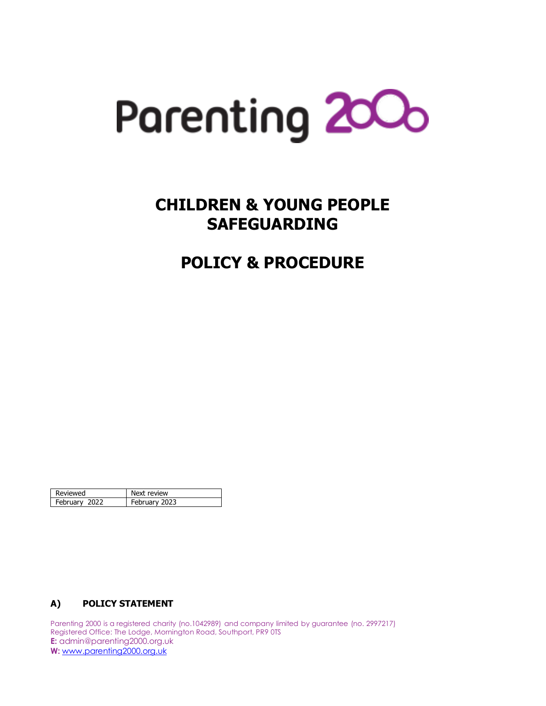

# **CHILDREN & YOUNG PEOPLE SAFEGUARDING**

# **POLICY & PROCEDURE**

| Reviewed      | Next review   |
|---------------|---------------|
| February 2022 | February 2023 |

## **A) POLICY STATEMENT**

Parenting 2000 is a registered charity (no.1042989) and company limited by guarantee (no. 2997217) Registered Office: The Lodge, Mornington Road, Southport, PR9 0TS **E:** admin@parenting2000.org.uk **W:** [www.parenting2000.org.uk](http://www.parenting2000.org.uk/)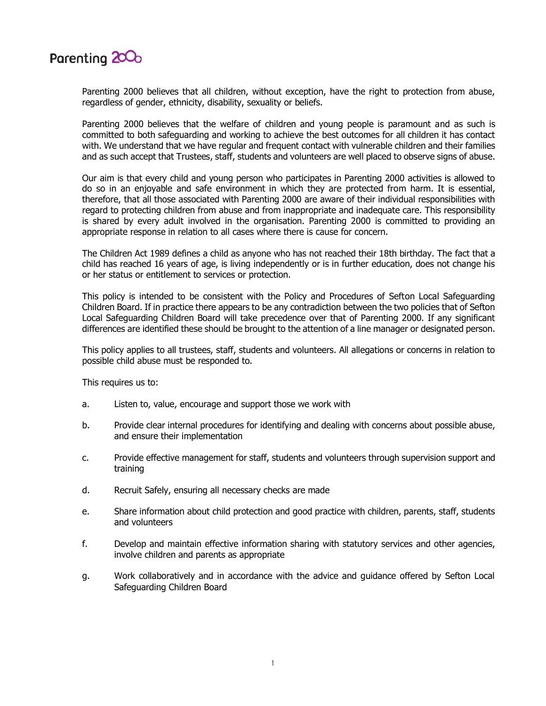

Parenting 2000 believes that all children, without exception, have the right to protection from abuse, regardless of gender, ethnicity, disability, sexuality or beliefs.

Parenting 2000 believes that the welfare of children and young people is paramount and as such is committed to both safeguarding and working to achieve the best outcomes for all children it has contact with. We understand that we have regular and frequent contact with vulnerable children and their families and as such accept that Trustees, staff, students and volunteers are well placed to observe signs of abuse.

Our aim is that every child and young person who participates in Parenting 2000 activities is allowed to do so in an enjoyable and safe environment in which they are protected from harm. It is essential, therefore, that all those associated with Parenting 2000 are aware of their individual responsibilities with regard to protecting children from abuse and from inappropriate and inadequate care. This responsibility is shared by every adult involved in the organisation. Parenting 2000 is committed to providing an appropriate response in relation to all cases where there is cause for concern.

The Children Act 1989 defines a child as anyone who has not reached their 18th birthday. The fact that a child has reached 16 years of age, is living independently or is in further education, does not change his or her status or entitlement to services or protection.

This policy is intended to be consistent with the Policy and Procedures of Sefton Local Safeguarding Children Board. If in practice there appears to be any contradiction between the two policies that of Sefton Local Safeguarding Children Board will take precedence over that of Parenting 2000. If any significant differences are identified these should be brought to the attention of a line manager or designated person.

This policy applies to all trustees, staff, students and volunteers. All allegations or concerns in relation to possible child abuse must be responded to.

This requires us to:

- a. Listen to, value, encourage and support those we work with
- b. Provide clear internal procedures for identifying and dealing with concerns about possible abuse, and ensure their implementation
- c. Provide effective management for staff, students and volunteers through supervision support and training
- d. Recruit Safely, ensuring all necessary checks are made
- e. Share information about child protection and good practice with children, parents, staff, students and volunteers
- f. Develop and maintain effective information sharing with statutory services and other agencies, involve children and parents as appropriate
- g. Work collaboratively and in accordance with the advice and guidance offered by Sefton Local Safeguarding Children Board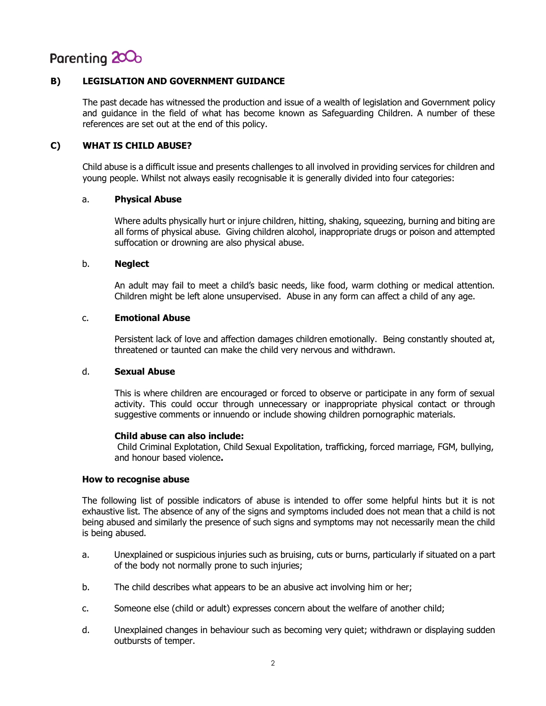

## **B) LEGISLATION AND GOVERNMENT GUIDANCE**

The past decade has witnessed the production and issue of a wealth of legislation and Government policy and guidance in the field of what has become known as Safeguarding Children. A number of these references are set out at the end of this policy.

### **C) WHAT IS CHILD ABUSE?**

Child abuse is a difficult issue and presents challenges to all involved in providing services for children and young people. Whilst not always easily recognisable it is generally divided into four categories:

#### a. **Physical Abuse**

Where adults physically hurt or injure children, hitting, shaking, squeezing, burning and biting are all forms of physical abuse. Giving children alcohol, inappropriate drugs or poison and attempted suffocation or drowning are also physical abuse.

#### b. **Neglect**

An adult may fail to meet a child's basic needs, like food, warm clothing or medical attention. Children might be left alone unsupervised. Abuse in any form can affect a child of any age.

#### c. **Emotional Abuse**

Persistent lack of love and affection damages children emotionally. Being constantly shouted at, threatened or taunted can make the child very nervous and withdrawn.

## d. **Sexual Abuse**

This is where children are encouraged or forced to observe or participate in any form of sexual activity. This could occur through unnecessary or inappropriate physical contact or through suggestive comments or innuendo or include showing children pornographic materials.

#### **Child abuse can also include:**

Child Criminal Explotation, Child Sexual Expolitation, trafficking, forced marriage, FGM, bullying, and honour based violence**.**

#### **How to recognise abuse**

The following list of possible indicators of abuse is intended to offer some helpful hints but it is not exhaustive list. The absence of any of the signs and symptoms included does not mean that a child is not being abused and similarly the presence of such signs and symptoms may not necessarily mean the child is being abused.

- a. Unexplained or suspicious injuries such as bruising, cuts or burns, particularly if situated on a part of the body not normally prone to such injuries;
- b. The child describes what appears to be an abusive act involving him or her;
- c. Someone else (child or adult) expresses concern about the welfare of another child;
- d. Unexplained changes in behaviour such as becoming very quiet; withdrawn or displaying sudden outbursts of temper.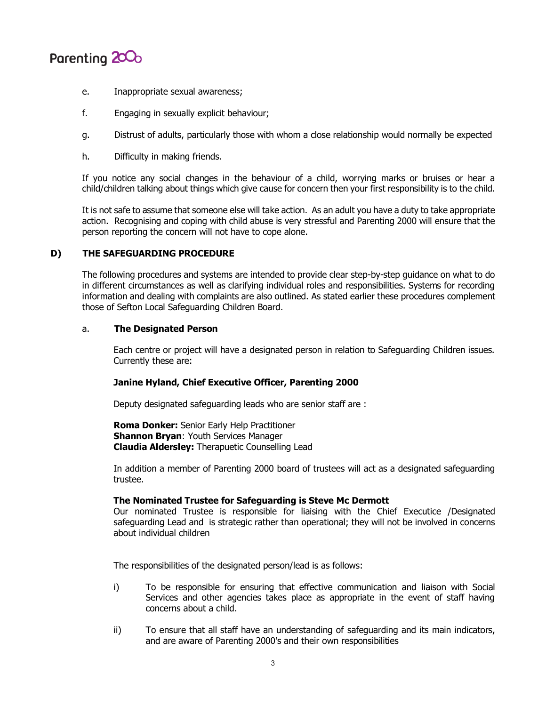

- e. Inappropriate sexual awareness;
- f. Engaging in sexually explicit behaviour;
- g. Distrust of adults, particularly those with whom a close relationship would normally be expected
- h. Difficulty in making friends.

If you notice any social changes in the behaviour of a child, worrying marks or bruises or hear a child/children talking about things which give cause for concern then your first responsibility is to the child.

It is not safe to assume that someone else will take action. As an adult you have a duty to take appropriate action. Recognising and coping with child abuse is very stressful and Parenting 2000 will ensure that the person reporting the concern will not have to cope alone.

## **D) THE SAFEGUARDING PROCEDURE**

The following procedures and systems are intended to provide clear step-by-step guidance on what to do in different circumstances as well as clarifying individual roles and responsibilities. Systems for recording information and dealing with complaints are also outlined. As stated earlier these procedures complement those of Sefton Local Safeguarding Children Board.

## a. **The Designated Person**

Each centre or project will have a designated person in relation to Safeguarding Children issues. Currently these are:

#### **Janine Hyland, Chief Executive Officer, Parenting 2000**

Deputy designated safeguarding leads who are senior staff are :

**Roma Donker:** Senior Early Help Practitioner **Shannon Bryan: Youth Services Manager Claudia Aldersley:** Therapuetic Counselling Lead

In addition a member of Parenting 2000 board of trustees will act as a designated safeguarding trustee.

#### **The Nominated Trustee for Safeguarding is Steve Mc Dermott**

Our nominated Trustee is responsible for liaising with the Chief Executice /Designated safeguarding Lead and is strategic rather than operational; they will not be involved in concerns about individual children

The responsibilities of the designated person/lead is as follows:

- i) To be responsible for ensuring that effective communication and liaison with Social Services and other agencies takes place as appropriate in the event of staff having concerns about a child.
- ii) To ensure that all staff have an understanding of safeguarding and its main indicators, and are aware of Parenting 2000's and their own responsibilities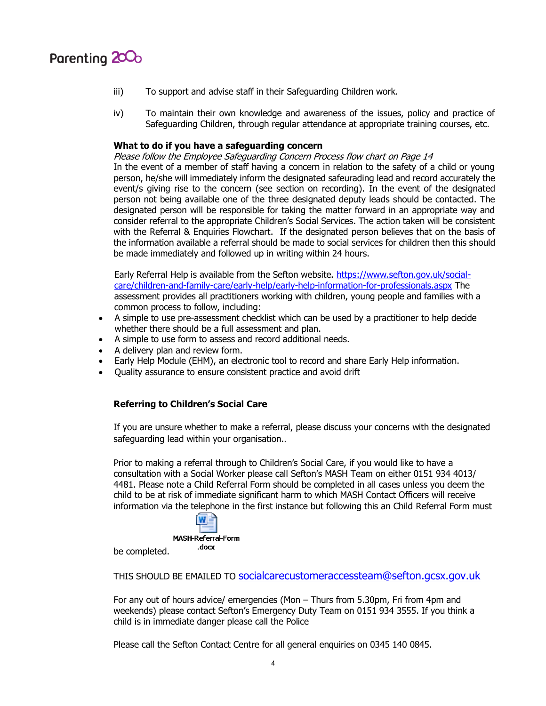

- iii) To support and advise staff in their Safeguarding Children work.
- iv) To maintain their own knowledge and awareness of the issues, policy and practice of Safeguarding Children, through regular attendance at appropriate training courses, etc.

### **What to do if you have a safeguarding concern**

Please follow the Employee Safeguarding Concern Process flow chart on Page 14

In the event of a member of staff having a concern in relation to the safety of a child or young person, he/she will immediately inform the designated safeurading lead and record accurately the event/s giving rise to the concern (see section on recording). In the event of the designated person not being available one of the three designated deputy leads should be contacted. The designated person will be responsible for taking the matter forward in an appropriate way and consider referral to the appropriate Children's Social Services. The action taken will be consistent with the Referral & Enquiries Flowchart. If the designated person believes that on the basis of the information available a referral should be made to social services for children then this should be made immediately and followed up in writing within 24 hours.

Early Referral Help is available from the Sefton website. [https://www.sefton.gov.uk/social](https://www.sefton.gov.uk/social-care/children-and-family-care/early-help/early-help-information-for-professionals.aspx)[care/children-and-family-care/early-help/early-help-information-for-professionals.aspx](https://www.sefton.gov.uk/social-care/children-and-family-care/early-help/early-help-information-for-professionals.aspx) The assessment provides all practitioners working with children, young people and families with a common process to follow, including:

- A simple to use pre-assessment checklist which can be used by a practitioner to help decide whether there should be a full assessment and plan.
- A simple to use form to assess and record additional needs.
- A delivery plan and review form.
- Early Help Module (EHM), an electronic tool to record and share Early Help information.
- Quality assurance to ensure consistent practice and avoid drift

## **Referring to Children's Social Care**

If you are unsure whether to make a referral, please discuss your concerns with the designated safeguarding lead within your organisation..

Prior to making a referral through to Children's Social Care, if you would like to have a consultation with a Social Worker please call Sefton's MASH Team on either 0151 934 4013/ 4481. Please note a Child Referral Form should be completed in all cases unless you deem the child to be at risk of immediate significant harm to which MASH Contact Officers will receive information via the telephone in the first instance but following this an Child Referral Form must

> W MASH-Referral-Form .docx

be completed.

THIS SHOULD BE EMAILED TO [socialcarecustomeraccessteam@sefton.gcsx.gov.uk](mailto:socialcarecustomeraccessteam@sefton.gcsx.gov.uk)

For any out of hours advice/ emergencies (Mon – Thurs from 5.30pm, Fri from 4pm and weekends) please contact Sefton's Emergency Duty Team on 0151 934 3555. If you think a child is in immediate danger please call the Police

Please call the Sefton Contact Centre for all general enquiries on 0345 140 0845.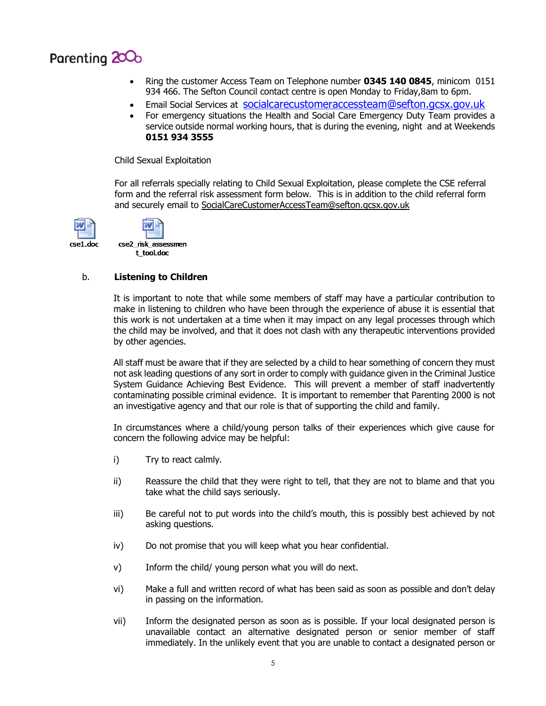

- Ring the customer Access Team on Telephone number **0345 140 0845**, minicom 0151 934 466. The Sefton Council contact centre is open Monday to Friday,8am to 6pm.
- Email Social Services at[socialcarecustomeraccessteam@sefton.gcsx.gov.uk](mailto:socialcarecustomeraccessteam@sefton.gcsx.gov.uk)
- For emergency situations the Health and Social Care Emergency Duty Team provides a service outside normal working hours, that is during the evening, night and at Weekends **0151 934 3555**

Child Sexual Exploitation

For all referrals specially relating to Child Sexual Exploitation, please complete the CSE referral form and the referral risk assessment form below. This is in addition to the child referral form and securely email to [SocialCareCustomerAccessTeam@sefton.gcsx.gov.uk](mailto:SocialCareCustomerAccessTeam@sefton.gcsx.gov.uk)



## b. **Listening to Children**

It is important to note that while some members of staff may have a particular contribution to make in listening to children who have been through the experience of abuse it is essential that this work is not undertaken at a time when it may impact on any legal processes through which the child may be involved, and that it does not clash with any therapeutic interventions provided by other agencies.

All staff must be aware that if they are selected by a child to hear something of concern they must not ask leading questions of any sort in order to comply with guidance given in the Criminal Justice System Guidance Achieving Best Evidence. This will prevent a member of staff inadvertently contaminating possible criminal evidence. It is important to remember that Parenting 2000 is not an investigative agency and that our role is that of supporting the child and family.

In circumstances where a child/young person talks of their experiences which give cause for concern the following advice may be helpful:

- i) Try to react calmly.
- ii) Reassure the child that they were right to tell, that they are not to blame and that you take what the child says seriously.
- iii) Be careful not to put words into the child's mouth, this is possibly best achieved by not asking questions.
- iv) Do not promise that you will keep what you hear confidential.
- v) Inform the child/ young person what you will do next.
- vi) Make a full and written record of what has been said as soon as possible and don't delay in passing on the information.
- vii) Inform the designated person as soon as is possible. If your local designated person is unavailable contact an alternative designated person or senior member of staff immediately. In the unlikely event that you are unable to contact a designated person or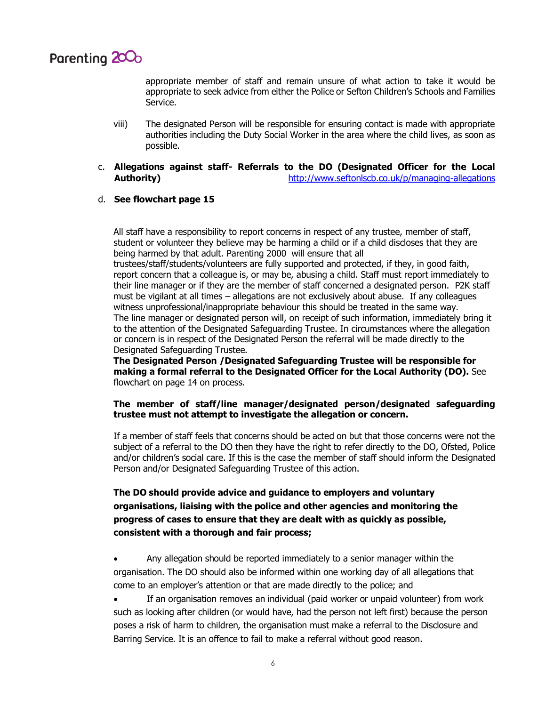

appropriate member of staff and remain unsure of what action to take it would be appropriate to seek advice from either the Police or Sefton Children's Schools and Families Service.

- viii) The designated Person will be responsible for ensuring contact is made with appropriate authorities including the Duty Social Worker in the area where the child lives, as soon as possible.
- c. **Allegations against staff- Referrals to the DO (Designated Officer for the Local Authority)** <http://www.seftonlscb.co.uk/p/managing-allegations>

#### d. **See flowchart page 15**

All staff have a responsibility to report concerns in respect of any trustee, member of staff, student or volunteer they believe may be harming a child or if a child discloses that they are being harmed by that adult. Parenting 2000 will ensure that all

trustees/staff/students/volunteers are fully supported and protected, if they, in good faith, report concern that a colleague is, or may be, abusing a child. Staff must report immediately to their line manager or if they are the member of staff concerned a designated person. P2K staff must be vigilant at all times – allegations are not exclusively about abuse. If any colleagues witness unprofessional/inappropriate behaviour this should be treated in the same way. The line manager or designated person will, on receipt of such information, immediately bring it to the attention of the Designated Safeguarding Trustee. In circumstances where the allegation or concern is in respect of the Designated Person the referral will be made directly to the Designated Safeguarding Trustee.

**The Designated Person /Designated Safeguarding Trustee will be responsible for making a formal referral to the Designated Officer for the Local Authority (DO).** See flowchart on page 14 on process.

## **The member of staff/line manager/designated person/designated safeguarding trustee must not attempt to investigate the allegation or concern.**

If a member of staff feels that concerns should be acted on but that those concerns were not the subject of a referral to the DO then they have the right to refer directly to the DO, Ofsted, Police and/or children's social care. If this is the case the member of staff should inform the Designated Person and/or Designated Safeguarding Trustee of this action.

## **The DO should provide advice and guidance to employers and voluntary organisations, liaising with the police and other agencies and monitoring the progress of cases to ensure that they are dealt with as quickly as possible, consistent with a thorough and fair process;**

- Any allegation should be reported immediately to a senior manager within the organisation. The DO should also be informed within one working day of all allegations that come to an employer's attention or that are made directly to the police; and
- If an organisation removes an individual (paid worker or unpaid volunteer) from work such as looking after children (or would have, had the person not left first) because the person poses a risk of harm to children, the organisation must make a referral to the Disclosure and Barring Service. It is an offence to fail to make a referral without good reason.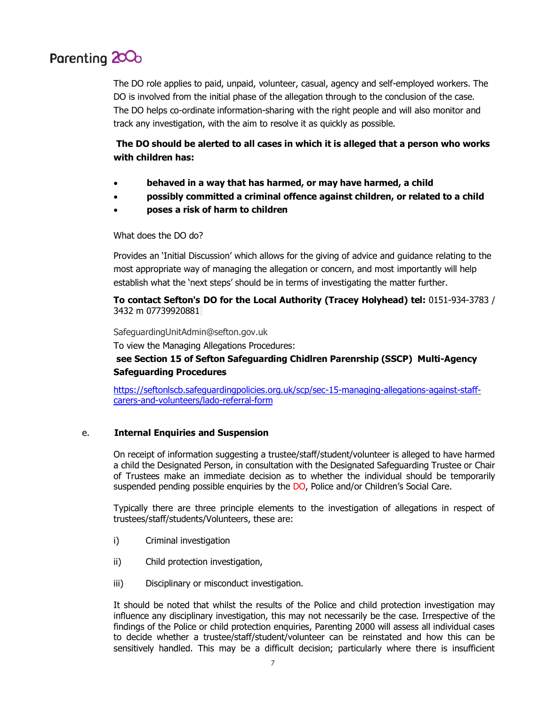## Parenting 200<sub>0</sub>

The DO role applies to paid, unpaid, volunteer, casual, agency and self-employed workers. The DO is involved from the initial phase of the allegation through to the conclusion of the case. The DO helps co-ordinate information-sharing with the right people and will also monitor and track any investigation, with the aim to resolve it as quickly as possible.

## **The DO should be alerted to all cases in which it is alleged that a person who works with children has:**

- **behaved in a way that has harmed, or may have harmed, a child**
- **possibly committed a criminal offence against children, or related to a child**
- **poses a risk of harm to children**

## What does the DO do?

Provides an 'Initial Discussion' which allows for the giving of advice and guidance relating to the most appropriate way of managing the allegation or concern, and most importantly will help establish what the 'next steps' should be in terms of investigating the matter further.

## **To contact Sefton's DO for the Local Authority (Tracey Holyhead) tel:** 0151-934-3783 / 3432 m 07739920881

SafeguardingUnitAdmin@sefton.gov.uk

To view the Managing Allegations Procedures:

## **see Section 15 of Sefton Safeguarding Chidlren Parenrship (SSCP) [Multi-Agency](http://seftonlscb.co.uk/professionals/multi-agency-safeguarding-procedures.aspx)  [Safeguarding Procedures](http://seftonlscb.co.uk/professionals/multi-agency-safeguarding-procedures.aspx)**

[https://seftonlscb.safeguardingpolicies.org.uk/scp/sec-15-managing-allegations-against-staff](https://seftonlscb.safeguardingpolicies.org.uk/scp/sec-15-managing-allegations-against-staff-carers-and-volunteers/lado-referral-form)[carers-and-volunteers/lado-referral-form](https://seftonlscb.safeguardingpolicies.org.uk/scp/sec-15-managing-allegations-against-staff-carers-and-volunteers/lado-referral-form)

## e. **Internal Enquiries and Suspension**

On receipt of information suggesting a trustee/staff/student/volunteer is alleged to have harmed a child the Designated Person, in consultation with the Designated Safeguarding Trustee or Chair of Trustees make an immediate decision as to whether the individual should be temporarily suspended pending possible enquiries by the DO, Police and/or Children's Social Care.

Typically there are three principle elements to the investigation of allegations in respect of trustees/staff/students/Volunteers, these are:

- i) Criminal investigation
- ii) Child protection investigation,
- iii) Disciplinary or misconduct investigation.

It should be noted that whilst the results of the Police and child protection investigation may influence any disciplinary investigation, this may not necessarily be the case. Irrespective of the findings of the Police or child protection enquiries, Parenting 2000 will assess all individual cases to decide whether a trustee/staff/student/volunteer can be reinstated and how this can be sensitively handled. This may be a difficult decision; particularly where there is insufficient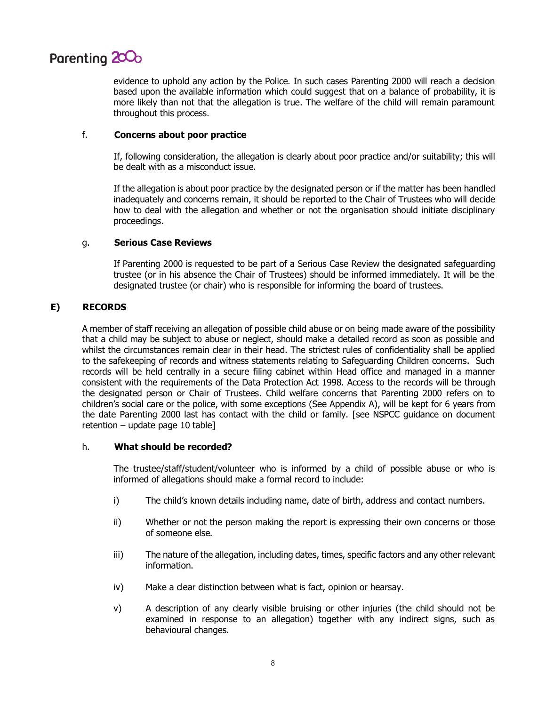

evidence to uphold any action by the Police. In such cases Parenting 2000 will reach a decision based upon the available information which could suggest that on a balance of probability, it is more likely than not that the allegation is true. The welfare of the child will remain paramount throughout this process.

## f. **Concerns about poor practice**

If, following consideration, the allegation is clearly about poor practice and/or suitability; this will be dealt with as a misconduct issue.

If the allegation is about poor practice by the designated person or if the matter has been handled inadequately and concerns remain, it should be reported to the Chair of Trustees who will decide how to deal with the allegation and whether or not the organisation should initiate disciplinary proceedings.

## g. **Serious Case Reviews**

If Parenting 2000 is requested to be part of a Serious Case Review the designated safeguarding trustee (or in his absence the Chair of Trustees) should be informed immediately. It will be the designated trustee (or chair) who is responsible for informing the board of trustees.

## **E) RECORDS**

A member of staff receiving an allegation of possible child abuse or on being made aware of the possibility that a child may be subject to abuse or neglect, should make a detailed record as soon as possible and whilst the circumstances remain clear in their head. The strictest rules of confidentiality shall be applied to the safekeeping of records and witness statements relating to Safeguarding Children concerns. Such records will be held centrally in a secure filing cabinet within Head office and managed in a manner consistent with the requirements of the Data Protection Act 1998. Access to the records will be through the designated person or Chair of Trustees. Child welfare concerns that Parenting 2000 refers on to children's social care or the police, with some exceptions (See Appendix A), will be kept for 6 years from the date Parenting 2000 last has contact with the child or family. [see NSPCC guidance on document retention – update page 10 table]

#### h. **What should be recorded?**

The trustee/staff/student/volunteer who is informed by a child of possible abuse or who is informed of allegations should make a formal record to include:

- i) The child's known details including name, date of birth, address and contact numbers.
- ii) Whether or not the person making the report is expressing their own concerns or those of someone else.
- iii) The nature of the allegation, including dates, times, specific factors and any other relevant information.
- iv) Make a clear distinction between what is fact, opinion or hearsay.
- v) A description of any clearly visible bruising or other injuries (the child should not be examined in response to an allegation) together with any indirect signs, such as behavioural changes.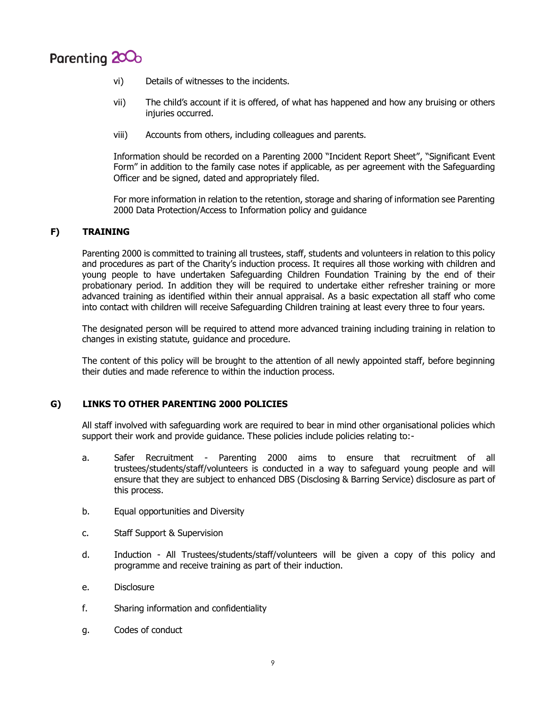

- vi) Details of witnesses to the incidents.
- vii) The child's account if it is offered, of what has happened and how any bruising or others injuries occurred.
- viii) Accounts from others, including colleagues and parents.

Information should be recorded on a Parenting 2000 "Incident Report Sheet", "Significant Event Form" in addition to the family case notes if applicable, as per agreement with the Safeguarding Officer and be signed, dated and appropriately filed.

For more information in relation to the retention, storage and sharing of information see Parenting 2000 Data Protection/Access to Information policy and guidance

## **F) TRAINING**

Parenting 2000 is committed to training all trustees, staff, students and volunteers in relation to this policy and procedures as part of the Charity's induction process. It requires all those working with children and young people to have undertaken Safeguarding Children Foundation Training by the end of their probationary period. In addition they will be required to undertake either refresher training or more advanced training as identified within their annual appraisal. As a basic expectation all staff who come into contact with children will receive Safeguarding Children training at least every three to four years.

The designated person will be required to attend more advanced training including training in relation to changes in existing statute, guidance and procedure.

The content of this policy will be brought to the attention of all newly appointed staff, before beginning their duties and made reference to within the induction process.

## **G) LINKS TO OTHER PARENTING 2000 POLICIES**

All staff involved with safeguarding work are required to bear in mind other organisational policies which support their work and provide guidance. These policies include policies relating to:-

- a. Safer Recruitment Parenting 2000 aims to ensure that recruitment of all trustees/students/staff/volunteers is conducted in a way to safeguard young people and will ensure that they are subject to enhanced DBS (Disclosing & Barring Service) disclosure as part of this process.
- b. Equal opportunities and Diversity
- c. Staff Support & Supervision
- d. Induction All Trustees/students/staff/volunteers will be given a copy of this policy and programme and receive training as part of their induction.
- e. Disclosure
- f. Sharing information and confidentiality
- g. Codes of conduct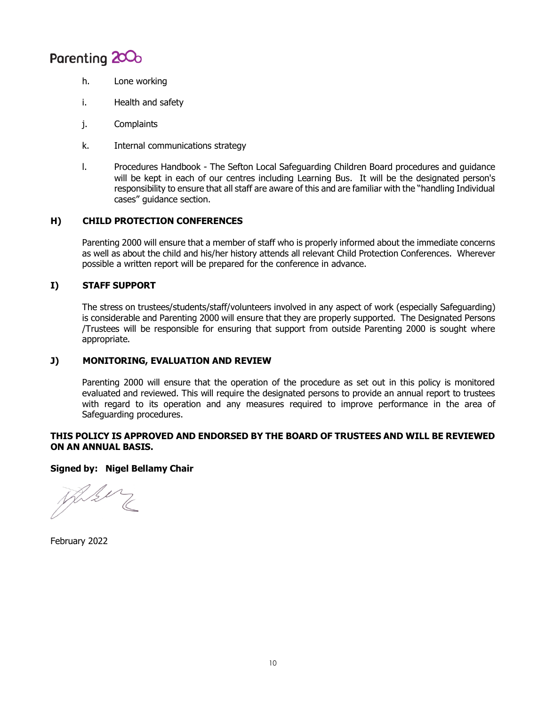

- h. Lone working
- i. Health and safety
- j. Complaints
- k. Internal communications strategy
- l. Procedures Handbook The Sefton Local Safeguarding Children Board procedures and guidance will be kept in each of our centres including Learning Bus. It will be the designated person's responsibility to ensure that all staff are aware of this and are familiar with the "handling Individual cases" guidance section.

## **H) CHILD PROTECTION CONFERENCES**

Parenting 2000 will ensure that a member of staff who is properly informed about the immediate concerns as well as about the child and his/her history attends all relevant Child Protection Conferences. Wherever possible a written report will be prepared for the conference in advance.

## **I) STAFF SUPPORT**

The stress on trustees/students/staff/volunteers involved in any aspect of work (especially Safeguarding) is considerable and Parenting 2000 will ensure that they are properly supported. The Designated Persons /Trustees will be responsible for ensuring that support from outside Parenting 2000 is sought where appropriate.

## **J) MONITORING, EVALUATION AND REVIEW**

Parenting 2000 will ensure that the operation of the procedure as set out in this policy is monitored evaluated and reviewed. This will require the designated persons to provide an annual report to trustees with regard to its operation and any measures required to improve performance in the area of Safeguarding procedures.

## **THIS POLICY IS APPROVED AND ENDORSED BY THE BOARD OF TRUSTEES AND WILL BE REVIEWED ON AN ANNUAL BASIS.**

## **Signed by: Nigel Bellamy Chair**

Deli

February 2022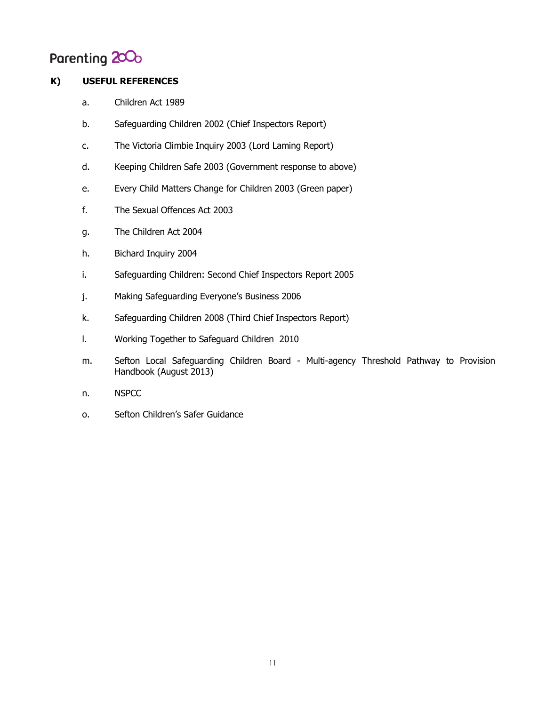## Parenting 200<sub>0</sub>

## **K) USEFUL REFERENCES**

- a. Children Act 1989
- b. Safeguarding Children 2002 (Chief Inspectors Report)
- c. The Victoria Climbie Inquiry 2003 (Lord Laming Report)
- d. Keeping Children Safe 2003 (Government response to above)
- e. Every Child Matters Change for Children 2003 (Green paper)
- f. The Sexual Offences Act 2003
- g. The Children Act 2004
- h. Bichard Inquiry 2004
- i. Safeguarding Children: Second Chief Inspectors Report 2005
- j. Making Safeguarding Everyone's Business 2006
- k. Safeguarding Children 2008 (Third Chief Inspectors Report)
- l. Working Together to Safeguard Children 2010
- m. Sefton Local Safeguarding Children Board Multi-agency Threshold Pathway to Provision Handbook (August 2013)
- n. NSPCC
- o. Sefton Children's Safer Guidance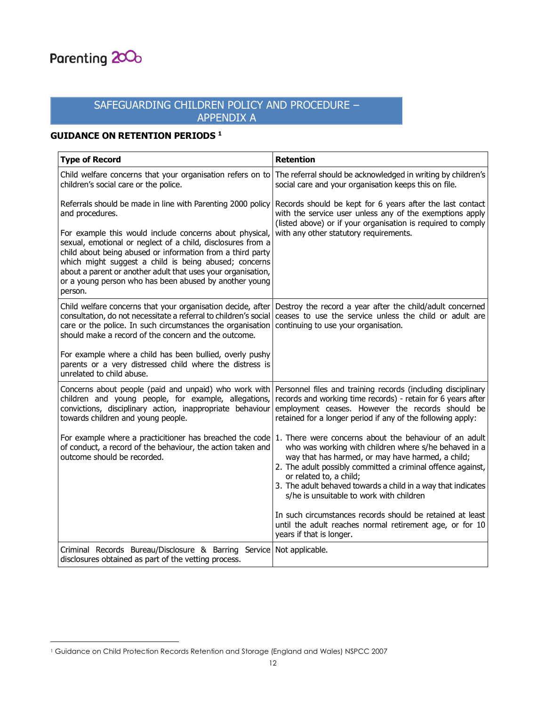

 $\overline{a}$ 

## SAFEGUARDING CHILDREN POLICY AND PROCEDURE – APPENDIX A

## **GUIDANCE ON RETENTION PERIODS <sup>1</sup>**

| <b>Type of Record</b>                                                                                                                                                                                                                                                                                                                                                              | <b>Retention</b>                                                                                                                                                                                                                                                                                                                                                           |  |
|------------------------------------------------------------------------------------------------------------------------------------------------------------------------------------------------------------------------------------------------------------------------------------------------------------------------------------------------------------------------------------|----------------------------------------------------------------------------------------------------------------------------------------------------------------------------------------------------------------------------------------------------------------------------------------------------------------------------------------------------------------------------|--|
| Child welfare concerns that your organisation refers on to<br>children's social care or the police.                                                                                                                                                                                                                                                                                | The referral should be acknowledged in writing by children's<br>social care and your organisation keeps this on file.                                                                                                                                                                                                                                                      |  |
| Referrals should be made in line with Parenting 2000 policy<br>and procedures.                                                                                                                                                                                                                                                                                                     | Records should be kept for 6 years after the last contact<br>with the service user unless any of the exemptions apply<br>(listed above) or if your organisation is required to comply<br>with any other statutory requirements.                                                                                                                                            |  |
| For example this would include concerns about physical,<br>sexual, emotional or neglect of a child, disclosures from a<br>child about being abused or information from a third party<br>which might suggest a child is being abused; concerns<br>about a parent or another adult that uses your organisation,<br>or a young person who has been abused by another young<br>person. |                                                                                                                                                                                                                                                                                                                                                                            |  |
| Child welfare concerns that your organisation decide, after<br>consultation, do not necessitate a referral to children's social<br>care or the police. In such circumstances the organisation<br>should make a record of the concern and the outcome.                                                                                                                              | Destroy the record a year after the child/adult concerned<br>ceases to use the service unless the child or adult are<br>continuing to use your organisation.                                                                                                                                                                                                               |  |
| For example where a child has been bullied, overly pushy<br>parents or a very distressed child where the distress is<br>unrelated to child abuse.                                                                                                                                                                                                                                  |                                                                                                                                                                                                                                                                                                                                                                            |  |
| Concerns about people (paid and unpaid) who work with<br>children and young people, for example, allegations,<br>convictions, disciplinary action, inappropriate behaviour<br>towards children and young people.                                                                                                                                                                   | Personnel files and training records (including disciplinary<br>records and working time records) - retain for 6 years after<br>employment ceases. However the records should be<br>retained for a longer period if any of the following apply:                                                                                                                            |  |
| For example where a practicitioner has breached the code<br>of conduct, a record of the behaviour, the action taken and<br>outcome should be recorded.                                                                                                                                                                                                                             | 1. There were concerns about the behaviour of an adult<br>who was working with children where s/he behaved in a<br>way that has harmed, or may have harmed, a child;<br>2. The adult possibly committed a criminal offence against,<br>or related to, a child;<br>3. The adult behaved towards a child in a way that indicates<br>s/he is unsuitable to work with children |  |
|                                                                                                                                                                                                                                                                                                                                                                                    | In such circumstances records should be retained at least<br>until the adult reaches normal retirement age, or for 10<br>years if that is longer.                                                                                                                                                                                                                          |  |
| Criminal Records Bureau/Disclosure & Barring Service Not applicable.<br>disclosures obtained as part of the vetting process.                                                                                                                                                                                                                                                       |                                                                                                                                                                                                                                                                                                                                                                            |  |

<sup>1</sup> Guidance on Child Protection Records Retention and Storage (England and Wales) NSPCC 2007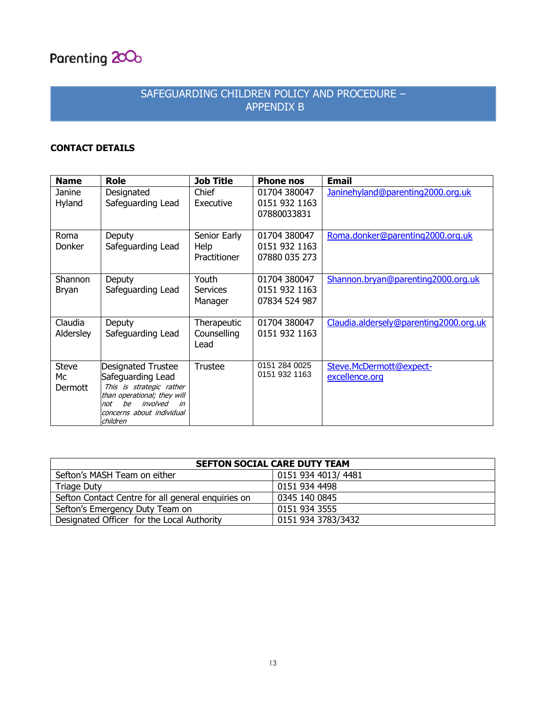

## SAFEGUARDING CHILDREN POLICY AND PROCEDURE – APPENDIX B

## **CONTACT DETAILS**

| <b>Name</b>                   | <b>Role</b>                                                                                                                                                                | <b>Job Title</b>                     | <b>Phone nos</b>                               | <b>Email</b>                              |
|-------------------------------|----------------------------------------------------------------------------------------------------------------------------------------------------------------------------|--------------------------------------|------------------------------------------------|-------------------------------------------|
| Janine<br>Hyland              | Designated<br>Safeguarding Lead                                                                                                                                            | Chief<br>Executive                   | 01704 380047<br>0151 932 1163<br>07880033831   | Janinehyland@parenting2000.org.uk         |
| Roma<br>Donker                | Deputy<br>Safeguarding Lead                                                                                                                                                | Senior Early<br>Help<br>Practitioner | 01704 380047<br>0151 932 1163<br>07880 035 273 | Roma.donker@parenting2000.org.uk          |
| Shannon<br><b>Bryan</b>       | Deputy<br>Safeguarding Lead                                                                                                                                                | Youth<br><b>Services</b><br>Manager  | 01704 380047<br>0151 932 1163<br>07834 524 987 | Shannon.bryan@parenting2000.org.uk        |
| Claudia<br>Aldersley          | Deputy<br>Safeguarding Lead                                                                                                                                                | Therapeutic<br>Counselling<br>Lead   | 01704 380047<br>0151 932 1163                  | Claudia.aldersely@parenting2000.org.uk    |
| <b>Steve</b><br>Мc<br>Dermott | Designated Trustee<br>Safeguarding Lead<br>This is strategic rather<br>than operational; they will<br>involved<br>he<br>in<br>not<br>concerns about individual<br>children | <b>Trustee</b>                       | 0151 284 0025<br>0151 932 1163                 | Steve.McDermott@expect-<br>excellence.org |

| <b>SEFTON SOCIAL CARE DUTY TEAM</b>                |                     |  |  |  |
|----------------------------------------------------|---------------------|--|--|--|
| Sefton's MASH Team on either                       | 0151 934 4013/ 4481 |  |  |  |
| <b>Triage Duty</b>                                 | 0151 934 4498       |  |  |  |
| Sefton Contact Centre for all general enquiries on | 0345 140 0845       |  |  |  |
| Sefton's Emergency Duty Team on                    | 0151 934 3555       |  |  |  |
| Designated Officer for the Local Authority         | 0151 934 3783/3432  |  |  |  |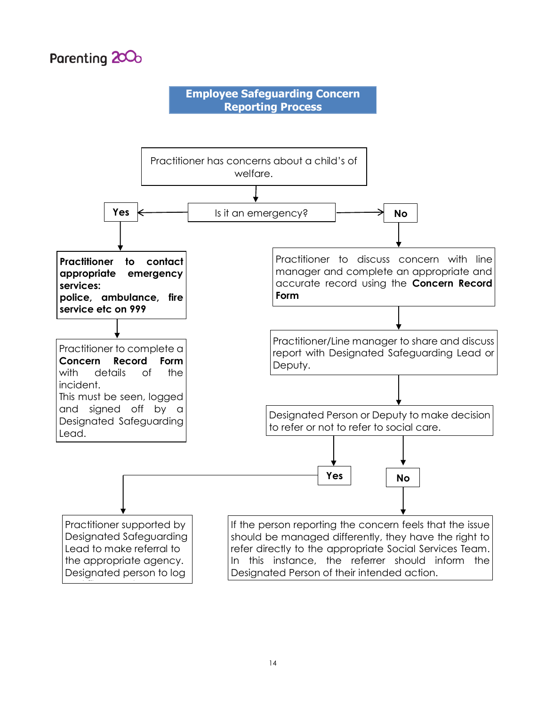

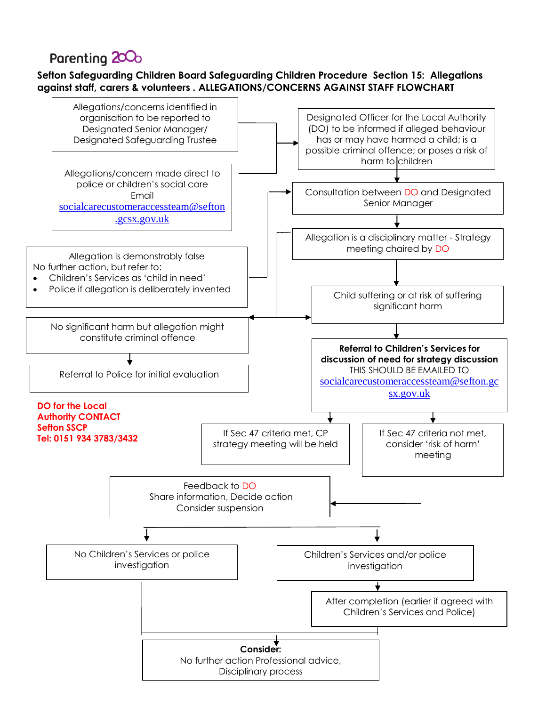## Parenting 200<sub>0</sub>

## **Sefton Safeguarding Children Board Safeguarding Children Procedure Section 15: Allegations against staff, carers & volunteers . ALLEGATIONS/CONCERNS AGAINST STAFF FLOWCHART**

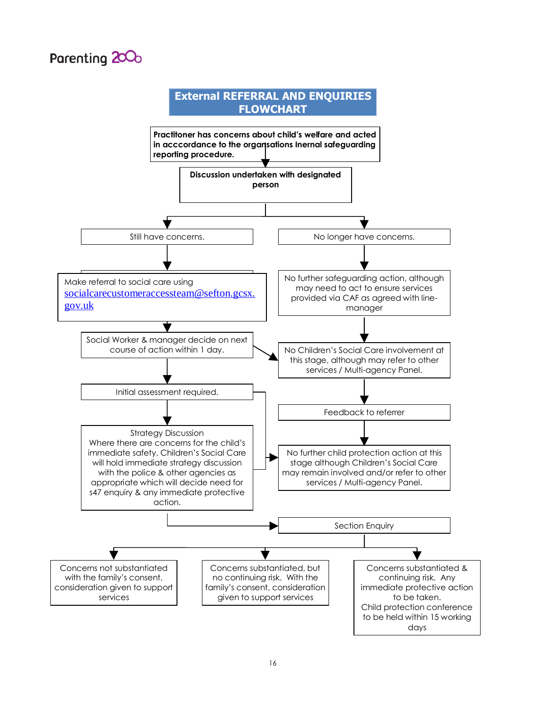